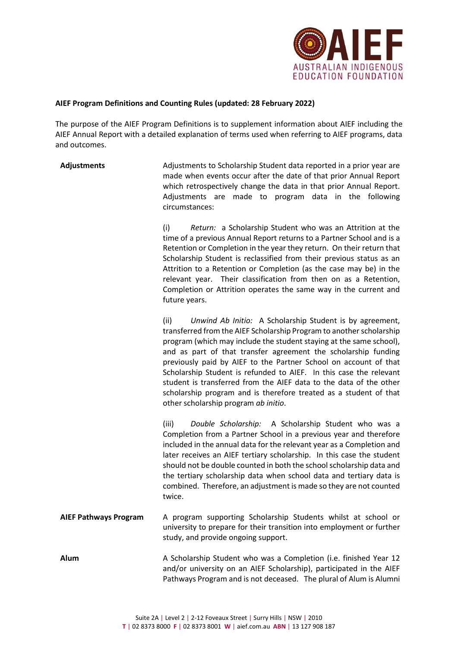

## **AIEF Program Definitions and Counting Rules (updated: 28 February 2022)**

The purpose of the AIEF Program Definitions is to supplement information about AIEF including the AIEF Annual Report with a detailed explanation of terms used when referring to AIEF programs, data and outcomes.

**Adjustments** Adjustments to Scholarship Student data reported in a prior year are made when events occur after the date of that prior Annual Report which retrospectively change the data in that prior Annual Report. Adjustments are made to program data in the following circumstances:

> (i) *Return:* a Scholarship Student who was an Attrition at the time of a previous Annual Report returns to a Partner School and is a Retention or Completion in the year they return. On their return that Scholarship Student is reclassified from their previous status as an Attrition to a Retention or Completion (as the case may be) in the relevant year. Their classification from then on as a Retention, Completion or Attrition operates the same way in the current and future years.

> (ii) *Unwind Ab Initio:* A Scholarship Student is by agreement, transferred from the AIEF Scholarship Program to another scholarship program (which may include the student staying at the same school), and as part of that transfer agreement the scholarship funding previously paid by AIEF to the Partner School on account of that Scholarship Student is refunded to AIEF. In this case the relevant student is transferred from the AIEF data to the data of the other scholarship program and is therefore treated as a student of that other scholarship program *ab initio*.

(iii) *Double Scholarship:* A Scholarship Student who was a Completion from a Partner School in a previous year and therefore included in the annual data for the relevant year as a Completion and later receives an AIEF tertiary scholarship. In this case the student should not be double counted in both the school scholarship data and the tertiary scholarship data when school data and tertiary data is combined. Therefore, an adjustment is made so they are not counted twice.

**AIEF Pathways Program** A program supporting Scholarship Students whilst at school or university to prepare for their transition into employment or further study, and provide ongoing support.

**Alum** A Scholarship Student who was a Completion (i.e. finished Year 12 and/or university on an AIEF Scholarship), participated in the AIEF Pathways Program and is not deceased. The plural of Alum is Alumni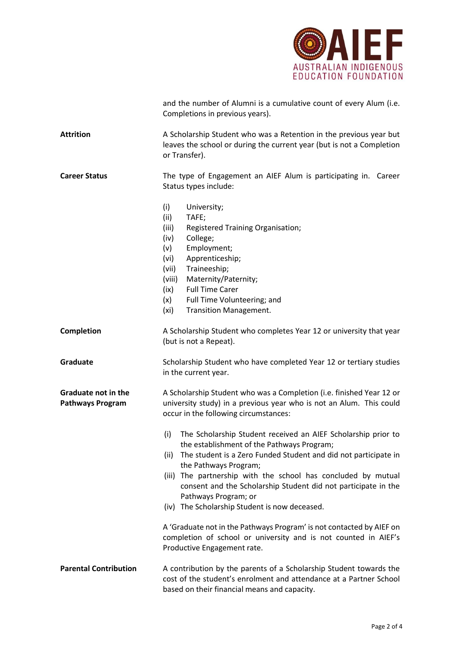

|                                                       | and the number of Alumni is a cumulative count of every Alum (i.e.<br>Completions in previous years).                                                                                                                                                                                                                                                                                                                                                                                                                                                                         |
|-------------------------------------------------------|-------------------------------------------------------------------------------------------------------------------------------------------------------------------------------------------------------------------------------------------------------------------------------------------------------------------------------------------------------------------------------------------------------------------------------------------------------------------------------------------------------------------------------------------------------------------------------|
| <b>Attrition</b>                                      | A Scholarship Student who was a Retention in the previous year but<br>leaves the school or during the current year (but is not a Completion<br>or Transfer).                                                                                                                                                                                                                                                                                                                                                                                                                  |
| <b>Career Status</b>                                  | The type of Engagement an AIEF Alum is participating in. Career<br>Status types include:                                                                                                                                                                                                                                                                                                                                                                                                                                                                                      |
|                                                       | (i)<br>University;<br>(ii)<br>TAFE;<br>(iii)<br>Registered Training Organisation;<br>College;<br>(iv)<br>Employment;<br>(v)<br>Apprenticeship;<br>(vi)<br>Traineeship;<br>(vii)<br>Maternity/Paternity;<br>(viii)<br><b>Full Time Carer</b><br>(ix)<br>Full Time Volunteering; and<br>(x)<br>(xi)<br>Transition Management.                                                                                                                                                                                                                                                   |
| <b>Completion</b>                                     | A Scholarship Student who completes Year 12 or university that year<br>(but is not a Repeat).                                                                                                                                                                                                                                                                                                                                                                                                                                                                                 |
| Graduate                                              | Scholarship Student who have completed Year 12 or tertiary studies<br>in the current year.                                                                                                                                                                                                                                                                                                                                                                                                                                                                                    |
| <b>Graduate not in the</b><br><b>Pathways Program</b> | A Scholarship Student who was a Completion (i.e. finished Year 12 or<br>university study) in a previous year who is not an Alum. This could<br>occur in the following circumstances:                                                                                                                                                                                                                                                                                                                                                                                          |
|                                                       | (i)<br>The Scholarship Student received an AIEF Scholarship prior to<br>the establishment of the Pathways Program;<br>The student is a Zero Funded Student and did not participate in<br>(ii)<br>the Pathways Program;<br>(iii) The partnership with the school has concluded by mutual<br>consent and the Scholarship Student did not participate in the<br>Pathways Program; or<br>(iv) The Scholarship Student is now deceased.<br>A 'Graduate not in the Pathways Program' is not contacted by AIEF on<br>completion of school or university and is not counted in AIEF's |
|                                                       | Productive Engagement rate.                                                                                                                                                                                                                                                                                                                                                                                                                                                                                                                                                   |
| <b>Parental Contribution</b>                          | A contribution by the parents of a Scholarship Student towards the<br>cost of the student's enrolment and attendance at a Partner School<br>based on their financial means and capacity.                                                                                                                                                                                                                                                                                                                                                                                      |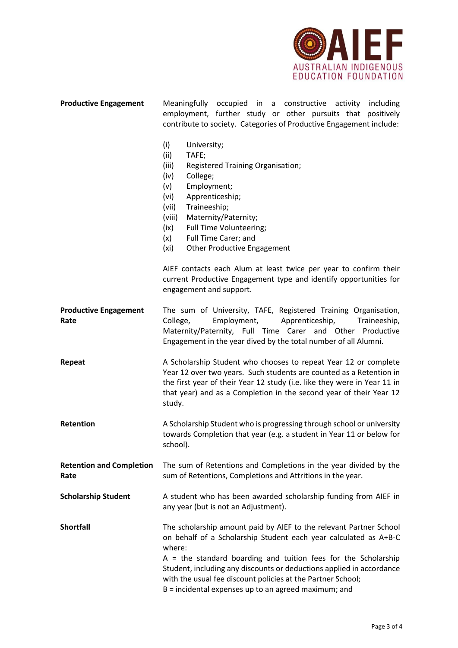

| <b>Productive Engagement</b>            | Meaningfully occupied in a constructive activity<br>including<br>employment, further study or other pursuits that positively<br>contribute to society. Categories of Productive Engagement include:                                                                                                                                                                                                                 |
|-----------------------------------------|---------------------------------------------------------------------------------------------------------------------------------------------------------------------------------------------------------------------------------------------------------------------------------------------------------------------------------------------------------------------------------------------------------------------|
|                                         | (i)<br>University;<br>(ii)<br>TAFE;<br>(iii)<br>Registered Training Organisation;<br>College;<br>(iv)<br>Employment;<br>(v)<br>Apprenticeship;<br>(vi)<br>Traineeship;<br>(vii)<br>(viii)<br>Maternity/Paternity;<br>Full Time Volunteering;<br>(ix)<br>Full Time Carer; and<br>(x)<br><b>Other Productive Engagement</b><br>(xi)<br>AIEF contacts each Alum at least twice per year to confirm their               |
|                                         | current Productive Engagement type and identify opportunities for<br>engagement and support.                                                                                                                                                                                                                                                                                                                        |
| <b>Productive Engagement</b><br>Rate    | The sum of University, TAFE, Registered Training Organisation,<br>Employment,<br>Apprenticeship,<br>College,<br>Traineeship,<br>Maternity/Paternity, Full Time Carer and Other Productive<br>Engagement in the year dived by the total number of all Alumni.                                                                                                                                                        |
| Repeat                                  | A Scholarship Student who chooses to repeat Year 12 or complete<br>Year 12 over two years. Such students are counted as a Retention in<br>the first year of their Year 12 study (i.e. like they were in Year 11 in<br>that year) and as a Completion in the second year of their Year 12<br>study.                                                                                                                  |
| Retention                               | A Scholarship Student who is progressing through school or university<br>towards Completion that year (e.g. a student in Year 11 or below for<br>school).                                                                                                                                                                                                                                                           |
| <b>Retention and Completion</b><br>Rate | The sum of Retentions and Completions in the year divided by the<br>sum of Retentions, Completions and Attritions in the year.                                                                                                                                                                                                                                                                                      |
| <b>Scholarship Student</b>              | A student who has been awarded scholarship funding from AIEF in<br>any year (but is not an Adjustment).                                                                                                                                                                                                                                                                                                             |
| <b>Shortfall</b>                        | The scholarship amount paid by AIEF to the relevant Partner School<br>on behalf of a Scholarship Student each year calculated as A+B-C<br>where:<br>$A =$ the standard boarding and tuition fees for the Scholarship<br>Student, including any discounts or deductions applied in accordance<br>with the usual fee discount policies at the Partner School;<br>B = incidental expenses up to an agreed maximum; and |